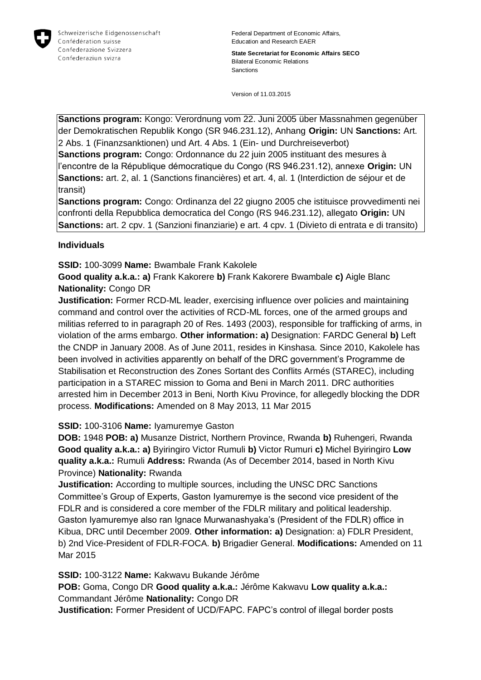

**State Secretariat for Economic Affairs SECO** Bilateral Economic Relations Sanctions

Version of 11.03.2015

**Sanctions program:** Kongo: Verordnung vom 22. Juni 2005 über Massnahmen gegenüber der Demokratischen Republik Kongo (SR 946.231.12), Anhang **Origin:** UN **Sanctions:** Art. 2 Abs. 1 (Finanzsanktionen) und Art. 4 Abs. 1 (Ein- und Durchreiseverbot)

**Sanctions program:** Congo: Ordonnance du 22 juin 2005 instituant des mesures à l'encontre de la République démocratique du Congo (RS 946.231.12), annexe **Origin:** UN **Sanctions:** art. 2, al. 1 (Sanctions financières) et art. 4, al. 1 (Interdiction de séjour et de transit)

**Sanctions program:** Congo: Ordinanza del 22 giugno 2005 che istituisce provvedimenti nei confronti della Repubblica democratica del Congo (RS 946.231.12), allegato **Origin:** UN **Sanctions:** art. 2 cpv. 1 (Sanzioni finanziarie) e art. 4 cpv. 1 (Divieto di entrata e di transito)

# **Individuals**

**SSID:** 100-3099 **Name:** Bwambale Frank Kakolele

**Good quality a.k.a.: a)** Frank Kakorere **b)** Frank Kakorere Bwambale **c)** Aigle Blanc **Nationality:** Congo DR

**Justification:** Former RCD-ML leader, exercising influence over policies and maintaining command and control over the activities of RCD-ML forces, one of the armed groups and militias referred to in paragraph 20 of Res. 1493 (2003), responsible for trafficking of arms, in violation of the arms embargo. **Other information: a)** Designation: FARDC General **b)** Left the CNDP in January 2008. As of June 2011, resides in Kinshasa. Since 2010, Kakolele has been involved in activities apparently on behalf of the DRC government's Programme de Stabilisation et Reconstruction des Zones Sortant des Conflits Armés (STAREC), including participation in a STAREC mission to Goma and Beni in March 2011. DRC authorities arrested him in December 2013 in Beni, North Kivu Province, for allegedly blocking the DDR process. **Modifications:** Amended on 8 May 2013, 11 Mar 2015

## **SSID:** 100-3106 **Name:** Iyamuremye Gaston

**DOB:** 1948 **POB: a)** Musanze District, Northern Province, Rwanda **b)** Ruhengeri, Rwanda **Good quality a.k.a.: a)** Byiringiro Victor Rumuli **b)** Victor Rumuri **c)** Michel Byiringiro **Low quality a.k.a.:** Rumuli **Address:** Rwanda (As of December 2014, based in North Kivu Province) **Nationality:** Rwanda

**Justification:** According to multiple sources, including the UNSC DRC Sanctions Committee's Group of Experts, Gaston Iyamuremye is the second vice president of the FDLR and is considered a core member of the FDLR military and political leadership. Gaston Iyamuremye also ran Ignace Murwanashyaka's (President of the FDLR) office in Kibua, DRC until December 2009. **Other information: a)** Designation: a) FDLR President, b) 2nd Vice-President of FDLR-FOCA. **b)** Brigadier General. **Modifications:** Amended on 11 Mar 2015

**SSID:** 100-3122 **Name:** Kakwavu Bukande Jérôme

**POB:** Goma, Congo DR **Good quality a.k.a.:** Jérôme Kakwavu **Low quality a.k.a.:**  Commandant Jérôme **Nationality:** Congo DR

**Justification:** Former President of UCD/FAPC. FAPC's control of illegal border posts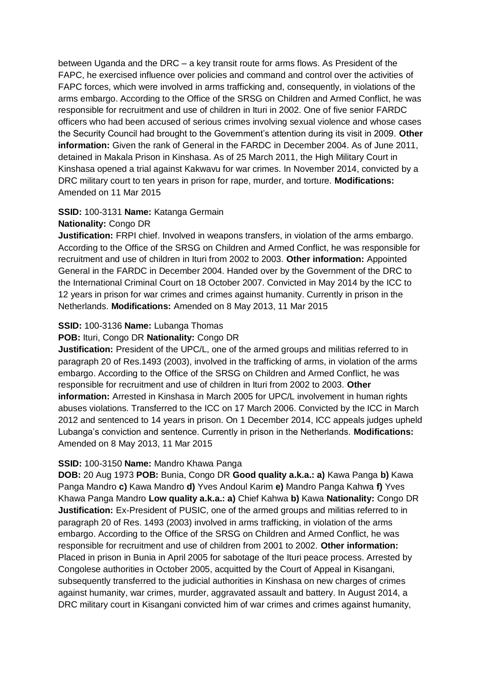between Uganda and the DRC – a key transit route for arms flows. As President of the FAPC, he exercised influence over policies and command and control over the activities of FAPC forces, which were involved in arms trafficking and, consequently, in violations of the arms embargo. According to the Office of the SRSG on Children and Armed Conflict, he was responsible for recruitment and use of children in Ituri in 2002. One of five senior FARDC officers who had been accused of serious crimes involving sexual violence and whose cases the Security Council had brought to the Government's attention during its visit in 2009. **Other information:** Given the rank of General in the FARDC in December 2004. As of June 2011, detained in Makala Prison in Kinshasa. As of 25 March 2011, the High Military Court in Kinshasa opened a trial against Kakwavu for war crimes. In November 2014, convicted by a DRC military court to ten years in prison for rape, murder, and torture. **Modifications:**  Amended on 11 Mar 2015

# **SSID:** 100-3131 **Name:** Katanga Germain

## **Nationality:** Congo DR

**Justification:** FRPI chief. Involved in weapons transfers, in violation of the arms embargo. According to the Office of the SRSG on Children and Armed Conflict, he was responsible for recruitment and use of children in Ituri from 2002 to 2003. **Other information:** Appointed General in the FARDC in December 2004. Handed over by the Government of the DRC to the International Criminal Court on 18 October 2007. Convicted in May 2014 by the ICC to 12 years in prison for war crimes and crimes against humanity. Currently in prison in the Netherlands. **Modifications:** Amended on 8 May 2013, 11 Mar 2015

## **SSID:** 100-3136 **Name:** Lubanga Thomas

## **POB:** Ituri, Congo DR **Nationality:** Congo DR

**Justification:** President of the UPC/L, one of the armed groups and militias referred to in paragraph 20 of Res.1493 (2003), involved in the trafficking of arms, in violation of the arms embargo. According to the Office of the SRSG on Children and Armed Conflict, he was responsible for recruitment and use of children in Ituri from 2002 to 2003. **Other information:** Arrested in Kinshasa in March 2005 for UPC/L involvement in human rights abuses violations. Transferred to the ICC on 17 March 2006. Convicted by the ICC in March 2012 and sentenced to 14 years in prison. On 1 December 2014, ICC appeals judges upheld Lubanga's conviction and sentence. Currently in prison in the Netherlands. **Modifications:**  Amended on 8 May 2013, 11 Mar 2015

## **SSID:** 100-3150 **Name:** Mandro Khawa Panga

**DOB:** 20 Aug 1973 **POB:** Bunia, Congo DR **Good quality a.k.a.: a)** Kawa Panga **b)** Kawa Panga Mandro **c)** Kawa Mandro **d)** Yves Andoul Karim **e)** Mandro Panga Kahwa **f)** Yves Khawa Panga Mandro **Low quality a.k.a.: a)** Chief Kahwa **b)** Kawa **Nationality:** Congo DR **Justification:** Ex-President of PUSIC, one of the armed groups and militias referred to in paragraph 20 of Res. 1493 (2003) involved in arms trafficking, in violation of the arms embargo. According to the Office of the SRSG on Children and Armed Conflict, he was responsible for recruitment and use of children from 2001 to 2002. **Other information:** Placed in prison in Bunia in April 2005 for sabotage of the Ituri peace process. Arrested by Congolese authorities in October 2005, acquitted by the Court of Appeal in Kisangani, subsequently transferred to the judicial authorities in Kinshasa on new charges of crimes against humanity, war crimes, murder, aggravated assault and battery. In August 2014, a DRC military court in Kisangani convicted him of war crimes and crimes against humanity,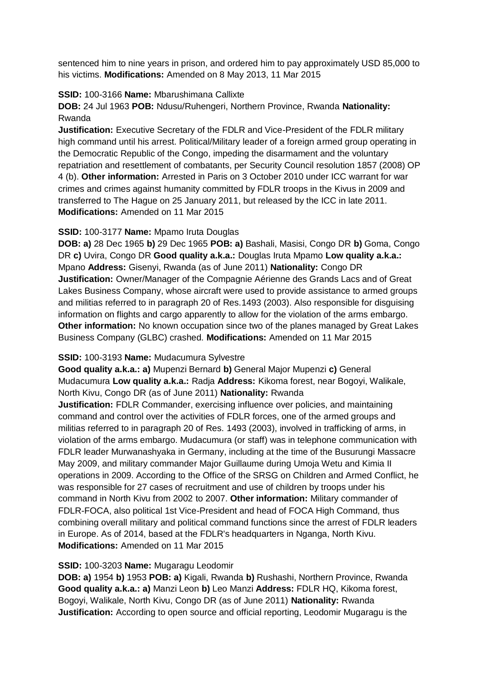sentenced him to nine years in prison, and ordered him to pay approximately USD 85,000 to his victims. **Modifications:** Amended on 8 May 2013, 11 Mar 2015

## **SSID:** 100-3166 **Name:** Mbarushimana Callixte

**DOB:** 24 Jul 1963 **POB:** Ndusu/Ruhengeri, Northern Province, Rwanda **Nationality:** Rwanda

**Justification:** Executive Secretary of the FDLR and Vice-President of the FDLR military high command until his arrest. Political/Military leader of a foreign armed group operating in the Democratic Republic of the Congo, impeding the disarmament and the voluntary repatriation and resettlement of combatants, per Security Council resolution 1857 (2008) OP 4 (b). **Other information:** Arrested in Paris on 3 October 2010 under ICC warrant for war crimes and crimes against humanity committed by FDLR troops in the Kivus in 2009 and transferred to The Hague on 25 January 2011, but released by the ICC in late 2011. **Modifications:** Amended on 11 Mar 2015

## **SSID:** 100-3177 **Name:** Mpamo Iruta Douglas

**DOB: a)** 28 Dec 1965 **b)** 29 Dec 1965 **POB: a)** Bashali, Masisi, Congo DR **b)** Goma, Congo DR **c)** Uvira, Congo DR **Good quality a.k.a.:** Douglas Iruta Mpamo **Low quality a.k.a.:**  Mpano **Address:** Gisenyi, Rwanda (as of June 2011) **Nationality:** Congo DR **Justification:** Owner/Manager of the Compagnie Aérienne des Grands Lacs and of Great Lakes Business Company, whose aircraft were used to provide assistance to armed groups and militias referred to in paragraph 20 of Res.1493 (2003). Also responsible for disguising information on flights and cargo apparently to allow for the violation of the arms embargo. **Other information:** No known occupation since two of the planes managed by Great Lakes Business Company (GLBC) crashed. **Modifications:** Amended on 11 Mar 2015

## **SSID:** 100-3193 **Name:** Mudacumura Sylvestre

**Good quality a.k.a.: a)** Mupenzi Bernard **b)** General Major Mupenzi **c)** General Mudacumura **Low quality a.k.a.:** Radja **Address:** Kikoma forest, near Bogoyi, Walikale, North Kivu, Congo DR (as of June 2011) **Nationality:** Rwanda

**Justification:** FDLR Commander, exercising influence over policies, and maintaining command and control over the activities of FDLR forces, one of the armed groups and militias referred to in paragraph 20 of Res. 1493 (2003), involved in trafficking of arms, in violation of the arms embargo. Mudacumura (or staff) was in telephone communication with FDLR leader Murwanashyaka in Germany, including at the time of the Busurungi Massacre May 2009, and military commander Major Guillaume during Umoja Wetu and Kimia II operations in 2009. According to the Office of the SRSG on Children and Armed Conflict, he was responsible for 27 cases of recruitment and use of children by troops under his command in North Kivu from 2002 to 2007. **Other information:** Military commander of FDLR-FOCA, also political 1st Vice-President and head of FOCA High Command, thus combining overall military and political command functions since the arrest of FDLR leaders in Europe. As of 2014, based at the FDLR's headquarters in Nganga, North Kivu. **Modifications:** Amended on 11 Mar 2015

# **SSID:** 100-3203 **Name:** Mugaragu Leodomir

**DOB: a)** 1954 **b)** 1953 **POB: a)** Kigali, Rwanda **b)** Rushashi, Northern Province, Rwanda **Good quality a.k.a.: a)** Manzi Leon **b)** Leo Manzi **Address:** FDLR HQ, Kikoma forest, Bogoyi, Walikale, North Kivu, Congo DR (as of June 2011) **Nationality:** Rwanda **Justification:** According to open source and official reporting, Leodomir Mugaragu is the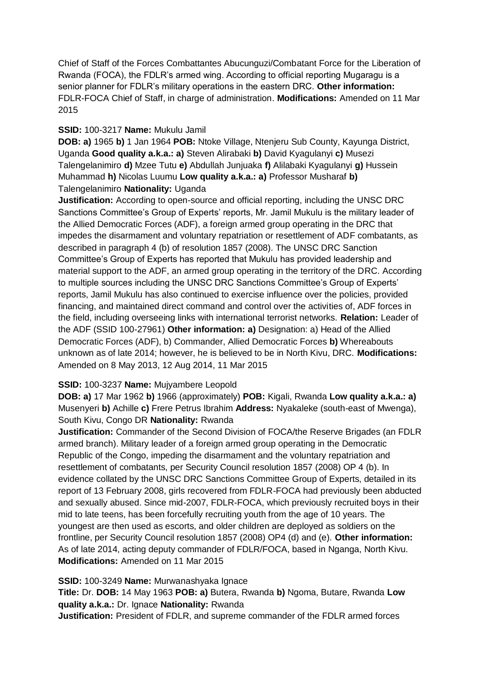Chief of Staff of the Forces Combattantes Abucunguzi/Combatant Force for the Liberation of Rwanda (FOCA), the FDLR's armed wing. According to official reporting Mugaragu is a senior planner for FDLR's military operations in the eastern DRC. **Other information:** FDLR-FOCA Chief of Staff, in charge of administration. **Modifications:** Amended on 11 Mar 2015

## **SSID:** 100-3217 **Name:** Mukulu Jamil

**DOB: a)** 1965 **b)** 1 Jan 1964 **POB:** Ntoke Village, Ntenjeru Sub County, Kayunga District, Uganda **Good quality a.k.a.: a)** Steven Alirabaki **b)** David Kyagulanyi **c)** Musezi Talengelanimiro **d)** Mzee Tutu **e)** Abdullah Junjuaka **f)** Alilabaki Kyagulanyi **g)** Hussein Muhammad **h)** Nicolas Luumu **Low quality a.k.a.: a)** Professor Musharaf **b)**  Talengelanimiro **Nationality:** Uganda

**Justification:** According to open-source and official reporting, including the UNSC DRC Sanctions Committee's Group of Experts' reports, Mr. Jamil Mukulu is the military leader of the Allied Democratic Forces (ADF), a foreign armed group operating in the DRC that impedes the disarmament and voluntary repatriation or resettlement of ADF combatants, as described in paragraph 4 (b) of resolution 1857 (2008). The UNSC DRC Sanction Committee's Group of Experts has reported that Mukulu has provided leadership and material support to the ADF, an armed group operating in the territory of the DRC. According to multiple sources including the UNSC DRC Sanctions Committee's Group of Experts' reports, Jamil Mukulu has also continued to exercise influence over the policies, provided financing, and maintained direct command and control over the activities of, ADF forces in the field, including overseeing links with international terrorist networks. **Relation:** Leader of the ADF (SSID 100-27961) **Other information: a)** Designation: a) Head of the Allied Democratic Forces (ADF), b) Commander, Allied Democratic Forces **b)** Whereabouts unknown as of late 2014; however, he is believed to be in North Kivu, DRC. **Modifications:**  Amended on 8 May 2013, 12 Aug 2014, 11 Mar 2015

# **SSID:** 100-3237 **Name:** Mujyambere Leopold

**DOB: a)** 17 Mar 1962 **b)** 1966 (approximately) **POB:** Kigali, Rwanda **Low quality a.k.a.: a)**  Musenyeri **b)** Achille **c)** Frere Petrus Ibrahim **Address:** Nyakaleke (south-east of Mwenga), South Kivu, Congo DR **Nationality:** Rwanda

**Justification:** Commander of the Second Division of FOCA/the Reserve Brigades (an FDLR armed branch). Military leader of a foreign armed group operating in the Democratic Republic of the Congo, impeding the disarmament and the voluntary repatriation and resettlement of combatants, per Security Council resolution 1857 (2008) OP 4 (b). In evidence collated by the UNSC DRC Sanctions Committee Group of Experts, detailed in its report of 13 February 2008, girls recovered from FDLR-FOCA had previously been abducted and sexually abused. Since mid-2007, FDLR-FOCA, which previously recruited boys in their mid to late teens, has been forcefully recruiting youth from the age of 10 years. The youngest are then used as escorts, and older children are deployed as soldiers on the frontline, per Security Council resolution 1857 (2008) OP4 (d) and (e). **Other information:** As of late 2014, acting deputy commander of FDLR/FOCA, based in Nganga, North Kivu. **Modifications:** Amended on 11 Mar 2015

**SSID:** 100-3249 **Name:** Murwanashyaka Ignace **Title:** Dr. **DOB:** 14 May 1963 **POB: a)** Butera, Rwanda **b)** Ngoma, Butare, Rwanda **Low quality a.k.a.:** Dr. Ignace **Nationality:** Rwanda

**Justification:** President of FDLR, and supreme commander of the FDLR armed forces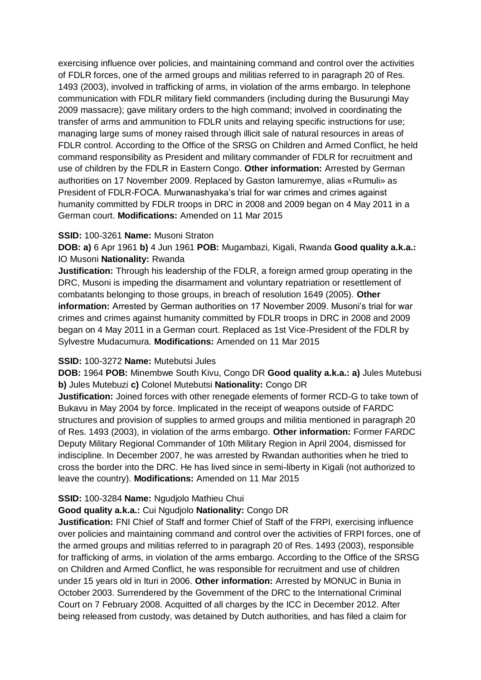exercising influence over policies, and maintaining command and control over the activities of FDLR forces, one of the armed groups and militias referred to in paragraph 20 of Res. 1493 (2003), involved in trafficking of arms, in violation of the arms embargo. In telephone communication with FDLR military field commanders (including during the Busurungi May 2009 massacre); gave military orders to the high command; involved in coordinating the transfer of arms and ammunition to FDLR units and relaying specific instructions for use; managing large sums of money raised through illicit sale of natural resources in areas of FDLR control. According to the Office of the SRSG on Children and Armed Conflict, he held command responsibility as President and military commander of FDLR for recruitment and use of children by the FDLR in Eastern Congo. **Other information:** Arrested by German authorities on 17 November 2009. Replaced by Gaston Iamuremye, alias «Rumuli» as President of FDLR-FOCA. Murwanashyaka's trial for war crimes and crimes against humanity committed by FDLR troops in DRC in 2008 and 2009 began on 4 May 2011 in a German court. **Modifications:** Amended on 11 Mar 2015

## **SSID:** 100-3261 **Name:** Musoni Straton

**DOB: a)** 6 Apr 1961 **b)** 4 Jun 1961 **POB:** Mugambazi, Kigali, Rwanda **Good quality a.k.a.:**  IO Musoni **Nationality:** Rwanda

**Justification:** Through his leadership of the FDLR, a foreign armed group operating in the DRC, Musoni is impeding the disarmament and voluntary repatriation or resettlement of combatants belonging to those groups, in breach of resolution 1649 (2005). **Other information:** Arrested by German authorities on 17 November 2009. Musoni's trial for war crimes and crimes against humanity committed by FDLR troops in DRC in 2008 and 2009 began on 4 May 2011 in a German court. Replaced as 1st Vice-President of the FDLR by Sylvestre Mudacumura. **Modifications:** Amended on 11 Mar 2015

## **SSID:** 100-3272 **Name:** Mutebutsi Jules

**DOB:** 1964 **POB:** Minembwe South Kivu, Congo DR **Good quality a.k.a.: a)** Jules Mutebusi **b)** Jules Mutebuzi **c)** Colonel Mutebutsi **Nationality:** Congo DR

**Justification:** Joined forces with other renegade elements of former RCD-G to take town of Bukavu in May 2004 by force. Implicated in the receipt of weapons outside of FARDC structures and provision of supplies to armed groups and militia mentioned in paragraph 20 of Res. 1493 (2003), in violation of the arms embargo. **Other information:** Former FARDC Deputy Military Regional Commander of 10th Military Region in April 2004, dismissed for indiscipline. In December 2007, he was arrested by Rwandan authorities when he tried to cross the border into the DRC. He has lived since in semi-liberty in Kigali (not authorized to leave the country). **Modifications:** Amended on 11 Mar 2015

## **SSID:** 100-3284 **Name:** Ngudjolo Mathieu Chui

### **Good quality a.k.a.:** Cui Ngudjolo **Nationality:** Congo DR

**Justification:** FNI Chief of Staff and former Chief of Staff of the FRPI, exercising influence over policies and maintaining command and control over the activities of FRPI forces, one of the armed groups and militias referred to in paragraph 20 of Res. 1493 (2003), responsible for trafficking of arms, in violation of the arms embargo. According to the Office of the SRSG on Children and Armed Conflict, he was responsible for recruitment and use of children under 15 years old in Ituri in 2006. **Other information:** Arrested by MONUC in Bunia in October 2003. Surrendered by the Government of the DRC to the International Criminal Court on 7 February 2008. Acquitted of all charges by the ICC in December 2012. After being released from custody, was detained by Dutch authorities, and has filed a claim for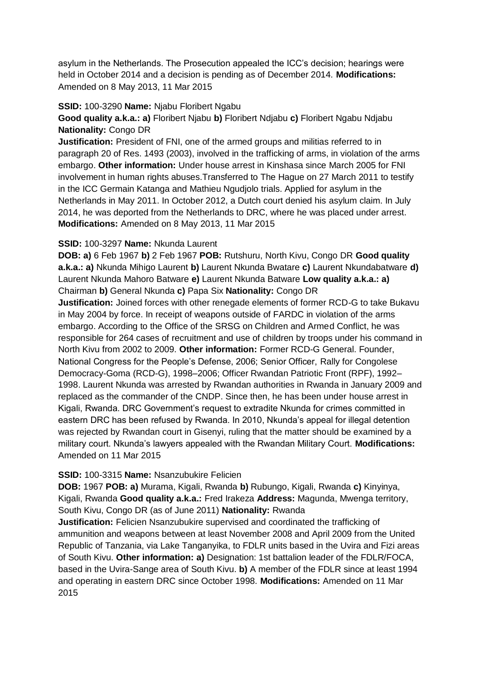asylum in the Netherlands. The Prosecution appealed the ICC's decision; hearings were held in October 2014 and a decision is pending as of December 2014. **Modifications:**  Amended on 8 May 2013, 11 Mar 2015

## **SSID:** 100-3290 **Name:** Njabu Floribert Ngabu

**Good quality a.k.a.: a)** Floribert Njabu **b)** Floribert Ndjabu **c)** Floribert Ngabu Ndjabu **Nationality:** Congo DR

**Justification:** President of FNI, one of the armed groups and militias referred to in paragraph 20 of Res. 1493 (2003), involved in the trafficking of arms, in violation of the arms embargo. **Other information:** Under house arrest in Kinshasa since March 2005 for FNI involvement in human rights abuses.Transferred to The Hague on 27 March 2011 to testify in the ICC Germain Katanga and Mathieu Ngudjolo trials. Applied for asylum in the Netherlands in May 2011. In October 2012, a Dutch court denied his asylum claim. In July 2014, he was deported from the Netherlands to DRC, where he was placed under arrest. **Modifications:** Amended on 8 May 2013, 11 Mar 2015

## **SSID:** 100-3297 **Name:** Nkunda Laurent

**DOB: a)** 6 Feb 1967 **b)** 2 Feb 1967 **POB:** Rutshuru, North Kivu, Congo DR **Good quality a.k.a.: a)** Nkunda Mihigo Laurent **b)** Laurent Nkunda Bwatare **c)** Laurent Nkundabatware **d)**  Laurent Nkunda Mahoro Batware **e)** Laurent Nkunda Batware **Low quality a.k.a.: a)**  Chairman **b)** General Nkunda **c)** Papa Six **Nationality:** Congo DR

**Justification:** Joined forces with other renegade elements of former RCD-G to take Bukavu in May 2004 by force. In receipt of weapons outside of FARDC in violation of the arms embargo. According to the Office of the SRSG on Children and Armed Conflict, he was responsible for 264 cases of recruitment and use of children by troops under his command in North Kivu from 2002 to 2009. **Other information:** Former RCD-G General. Founder, National Congress for the People's Defense, 2006; Senior Officer, Rally for Congolese Democracy-Goma (RCD-G), 1998–2006; Officer Rwandan Patriotic Front (RPF), 1992– 1998. Laurent Nkunda was arrested by Rwandan authorities in Rwanda in January 2009 and replaced as the commander of the CNDP. Since then, he has been under house arrest in Kigali, Rwanda. DRC Government's request to extradite Nkunda for crimes committed in eastern DRC has been refused by Rwanda. In 2010, Nkunda's appeal for illegal detention was rejected by Rwandan court in Gisenyi, ruling that the matter should be examined by a military court. Nkunda's lawyers appealed with the Rwandan Military Court. **Modifications:**  Amended on 11 Mar 2015

## **SSID:** 100-3315 **Name:** Nsanzubukire Felicien

**DOB:** 1967 **POB: a)** Murama, Kigali, Rwanda **b)** Rubungo, Kigali, Rwanda **c)** Kinyinya, Kigali, Rwanda **Good quality a.k.a.:** Fred Irakeza **Address:** Magunda, Mwenga territory, South Kivu, Congo DR (as of June 2011) **Nationality:** Rwanda

**Justification:** Felicien Nsanzubukire supervised and coordinated the trafficking of ammunition and weapons between at least November 2008 and April 2009 from the United Republic of Tanzania, via Lake Tanganyika, to FDLR units based in the Uvira and Fizi areas of South Kivu. **Other information: a)** Designation: 1st battalion leader of the FDLR/FOCA, based in the Uvira-Sange area of South Kivu. **b)** A member of the FDLR since at least 1994 and operating in eastern DRC since October 1998. **Modifications:** Amended on 11 Mar 2015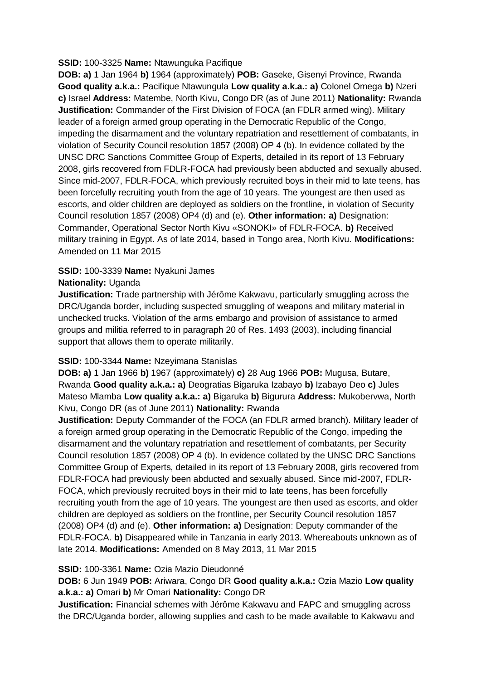## **SSID:** 100-3325 **Name:** Ntawunguka Pacifique

**DOB: a)** 1 Jan 1964 **b)** 1964 (approximately) **POB:** Gaseke, Gisenyi Province, Rwanda **Good quality a.k.a.:** Pacifique Ntawungula **Low quality a.k.a.: a)** Colonel Omega **b)** Nzeri **c)** Israel **Address:** Matembe, North Kivu, Congo DR (as of June 2011) **Nationality:** Rwanda **Justification:** Commander of the First Division of FOCA (an FDLR armed wing). Military leader of a foreign armed group operating in the Democratic Republic of the Congo, impeding the disarmament and the voluntary repatriation and resettlement of combatants, in violation of Security Council resolution 1857 (2008) OP 4 (b). In evidence collated by the UNSC DRC Sanctions Committee Group of Experts, detailed in its report of 13 February 2008, girls recovered from FDLR-FOCA had previously been abducted and sexually abused. Since mid-2007, FDLR-FOCA, which previously recruited boys in their mid to late teens, has been forcefully recruiting youth from the age of 10 years. The youngest are then used as escorts, and older children are deployed as soldiers on the frontline, in violation of Security Council resolution 1857 (2008) OP4 (d) and (e). **Other information: a)** Designation: Commander, Operational Sector North Kivu «SONOKI» of FDLR-FOCA. **b)** Received military training in Egypt. As of late 2014, based in Tongo area, North Kivu. **Modifications:**  Amended on 11 Mar 2015

# **SSID:** 100-3339 **Name:** Nyakuni James

# **Nationality:** Uganda

**Justification:** Trade partnership with Jérôme Kakwavu, particularly smuggling across the DRC/Uganda border, including suspected smuggling of weapons and military material in unchecked trucks. Violation of the arms embargo and provision of assistance to armed groups and militia referred to in paragraph 20 of Res. 1493 (2003), including financial support that allows them to operate militarily.

# **SSID:** 100-3344 **Name:** Nzeyimana Stanislas

**DOB: a)** 1 Jan 1966 **b)** 1967 (approximately) **c)** 28 Aug 1966 **POB:** Mugusa, Butare, Rwanda **Good quality a.k.a.: a)** Deogratias Bigaruka Izabayo **b)** Izabayo Deo **c)** Jules Mateso Mlamba **Low quality a.k.a.: a)** Bigaruka **b)** Bigurura **Address:** Mukobervwa, North Kivu, Congo DR (as of June 2011) **Nationality:** Rwanda

**Justification:** Deputy Commander of the FOCA (an FDLR armed branch). Military leader of a foreign armed group operating in the Democratic Republic of the Congo, impeding the disarmament and the voluntary repatriation and resettlement of combatants, per Security Council resolution 1857 (2008) OP 4 (b). In evidence collated by the UNSC DRC Sanctions Committee Group of Experts, detailed in its report of 13 February 2008, girls recovered from FDLR-FOCA had previously been abducted and sexually abused. Since mid-2007, FDLR-FOCA, which previously recruited boys in their mid to late teens, has been forcefully recruiting youth from the age of 10 years. The youngest are then used as escorts, and older children are deployed as soldiers on the frontline, per Security Council resolution 1857 (2008) OP4 (d) and (e). **Other information: a)** Designation: Deputy commander of the FDLR-FOCA. **b)** Disappeared while in Tanzania in early 2013. Whereabouts unknown as of late 2014. **Modifications:** Amended on 8 May 2013, 11 Mar 2015

# **SSID:** 100-3361 **Name:** Ozia Mazio Dieudonné

# **DOB:** 6 Jun 1949 **POB:** Ariwara, Congo DR **Good quality a.k.a.:** Ozia Mazio **Low quality a.k.a.: a)** Omari **b)** Mr Omari **Nationality:** Congo DR

**Justification:** Financial schemes with Jérôme Kakwavu and FAPC and smuggling across the DRC/Uganda border, allowing supplies and cash to be made available to Kakwavu and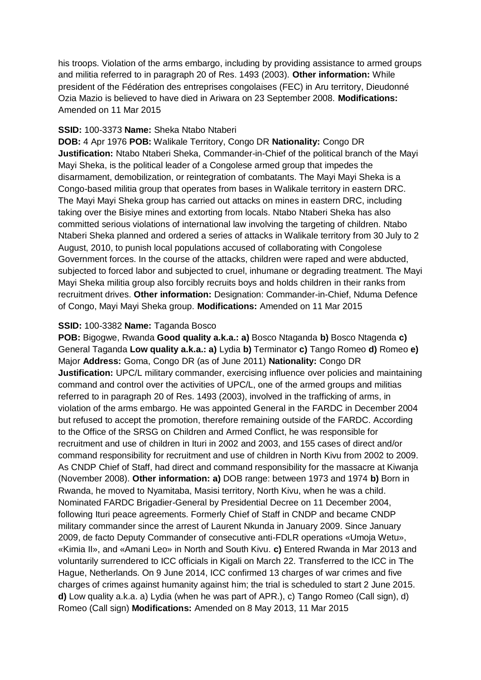his troops. Violation of the arms embargo, including by providing assistance to armed groups and militia referred to in paragraph 20 of Res. 1493 (2003). **Other information:** While president of the Fédération des entreprises congolaises (FEC) in Aru territory, Dieudonné Ozia Mazio is believed to have died in Ariwara on 23 September 2008. **Modifications:**  Amended on 11 Mar 2015

## **SSID:** 100-3373 **Name:** Sheka Ntabo Ntaberi

**DOB:** 4 Apr 1976 **POB:** Walikale Territory, Congo DR **Nationality:** Congo DR **Justification:** Ntabo Ntaberi Sheka, Commander-in-Chief of the political branch of the Mayi Mayi Sheka, is the political leader of a Congolese armed group that impedes the disarmament, demobilization, or reintegration of combatants. The Mayi Mayi Sheka is a Congo-based militia group that operates from bases in Walikale territory in eastern DRC. The Mayi Mayi Sheka group has carried out attacks on mines in eastern DRC, including taking over the Bisiye mines and extorting from locals. Ntabo Ntaberi Sheka has also committed serious violations of international law involving the targeting of children. Ntabo Ntaberi Sheka planned and ordered a series of attacks in Walikale territory from 30 July to 2 August, 2010, to punish local populations accused of collaborating with Congolese Government forces. In the course of the attacks, children were raped and were abducted, subjected to forced labor and subjected to cruel, inhumane or degrading treatment. The Mayi Mayi Sheka militia group also forcibly recruits boys and holds children in their ranks from recruitment drives. **Other information:** Designation: Commander-in-Chief, Nduma Defence of Congo, Mayi Mayi Sheka group. **Modifications:** Amended on 11 Mar 2015

## **SSID:** 100-3382 **Name:** Taganda Bosco

**POB:** Bigogwe, Rwanda **Good quality a.k.a.: a)** Bosco Ntaganda **b)** Bosco Ntagenda **c)**  General Taganda **Low quality a.k.a.: a)** Lydia **b)** Terminator **c)** Tango Romeo **d)** Romeo **e)**  Major **Address:** Goma, Congo DR (as of June 2011) **Nationality:** Congo DR **Justification:** UPC/L military commander, exercising influence over policies and maintaining command and control over the activities of UPC/L, one of the armed groups and militias referred to in paragraph 20 of Res. 1493 (2003), involved in the trafficking of arms, in violation of the arms embargo. He was appointed General in the FARDC in December 2004 but refused to accept the promotion, therefore remaining outside of the FARDC. According to the Office of the SRSG on Children and Armed Conflict, he was responsible for recruitment and use of children in Ituri in 2002 and 2003, and 155 cases of direct and/or command responsibility for recruitment and use of children in North Kivu from 2002 to 2009. As CNDP Chief of Staff, had direct and command responsibility for the massacre at Kiwanja (November 2008). **Other information: a)** DOB range: between 1973 and 1974 **b)** Born in Rwanda, he moved to Nyamitaba, Masisi territory, North Kivu, when he was a child. Nominated FARDC Brigadier-General by Presidential Decree on 11 December 2004, following Ituri peace agreements. Formerly Chief of Staff in CNDP and became CNDP military commander since the arrest of Laurent Nkunda in January 2009. Since January 2009, de facto Deputy Commander of consecutive anti-FDLR operations «Umoja Wetu», «Kimia II», and «Amani Leo» in North and South Kivu. **c)** Entered Rwanda in Mar 2013 and voluntarily surrendered to ICC officials in Kigali on March 22. Transferred to the ICC in The Hague, Netherlands. On 9 June 2014, ICC confirmed 13 charges of war crimes and five charges of crimes against humanity against him; the trial is scheduled to start 2 June 2015. **d)** Low quality a.k.a. a) Lydia (when he was part of APR.), c) Tango Romeo (Call sign), d) Romeo (Call sign) **Modifications:** Amended on 8 May 2013, 11 Mar 2015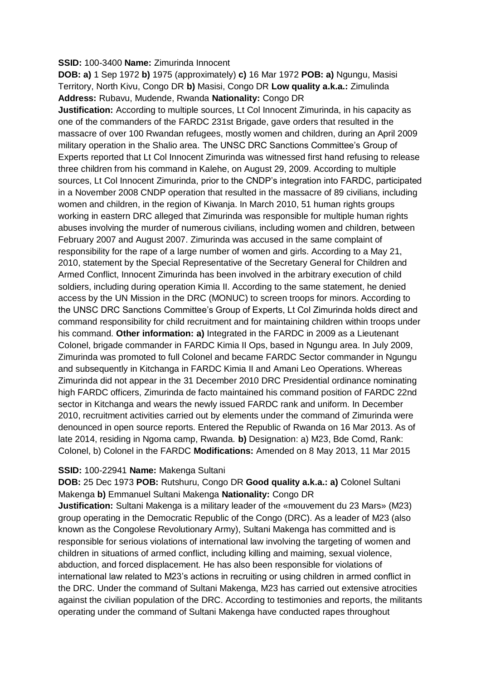## **SSID:** 100-3400 **Name:** Zimurinda Innocent

**DOB: a)** 1 Sep 1972 **b)** 1975 (approximately) **c)** 16 Mar 1972 **POB: a)** Ngungu, Masisi Territory, North Kivu, Congo DR **b)** Masisi, Congo DR **Low quality a.k.a.:** Zimulinda **Address:** Rubavu, Mudende, Rwanda **Nationality:** Congo DR

**Justification:** According to multiple sources, Lt Col Innocent Zimurinda, in his capacity as one of the commanders of the FARDC 231st Brigade, gave orders that resulted in the massacre of over 100 Rwandan refugees, mostly women and children, during an April 2009 military operation in the Shalio area. The UNSC DRC Sanctions Committee's Group of Experts reported that Lt Col Innocent Zimurinda was witnessed first hand refusing to release three children from his command in Kalehe, on August 29, 2009. According to multiple sources, Lt Col Innocent Zimurinda, prior to the CNDP's integration into FARDC, participated in a November 2008 CNDP operation that resulted in the massacre of 89 civilians, including women and children, in the region of Kiwanja. In March 2010, 51 human rights groups working in eastern DRC alleged that Zimurinda was responsible for multiple human rights abuses involving the murder of numerous civilians, including women and children, between February 2007 and August 2007. Zimurinda was accused in the same complaint of responsibility for the rape of a large number of women and girls. According to a May 21, 2010, statement by the Special Representative of the Secretary General for Children and Armed Conflict, Innocent Zimurinda has been involved in the arbitrary execution of child soldiers, including during operation Kimia II. According to the same statement, he denied access by the UN Mission in the DRC (MONUC) to screen troops for minors. According to the UNSC DRC Sanctions Committee's Group of Experts, Lt Col Zimurinda holds direct and command responsibility for child recruitment and for maintaining children within troops under his command. **Other information: a)** Integrated in the FARDC in 2009 as a Lieutenant Colonel, brigade commander in FARDC Kimia II Ops, based in Ngungu area. In July 2009, Zimurinda was promoted to full Colonel and became FARDC Sector commander in Ngungu and subsequently in Kitchanga in FARDC Kimia II and Amani Leo Operations. Whereas Zimurinda did not appear in the 31 December 2010 DRC Presidential ordinance nominating high FARDC officers, Zimurinda de facto maintained his command position of FARDC 22nd sector in Kitchanga and wears the newly issued FARDC rank and uniform. In December 2010, recruitment activities carried out by elements under the command of Zimurinda were denounced in open source reports. Entered the Republic of Rwanda on 16 Mar 2013. As of late 2014, residing in Ngoma camp, Rwanda. **b)** Designation: a) M23, Bde Comd, Rank: Colonel, b) Colonel in the FARDC **Modifications:** Amended on 8 May 2013, 11 Mar 2015

## **SSID:** 100-22941 **Name:** Makenga Sultani

**DOB:** 25 Dec 1973 **POB:** Rutshuru, Congo DR **Good quality a.k.a.: a)** Colonel Sultani Makenga **b)** Emmanuel Sultani Makenga **Nationality:** Congo DR

**Justification:** Sultani Makenga is a military leader of the «mouvement du 23 Mars» (M23) group operating in the Democratic Republic of the Congo (DRC). As a leader of M23 (also known as the Congolese Revolutionary Army), Sultani Makenga has committed and is responsible for serious violations of international law involving the targeting of women and children in situations of armed conflict, including killing and maiming, sexual violence, abduction, and forced displacement. He has also been responsible for violations of international law related to M23's actions in recruiting or using children in armed conflict in the DRC. Under the command of Sultani Makenga, M23 has carried out extensive atrocities against the civilian population of the DRC. According to testimonies and reports, the militants operating under the command of Sultani Makenga have conducted rapes throughout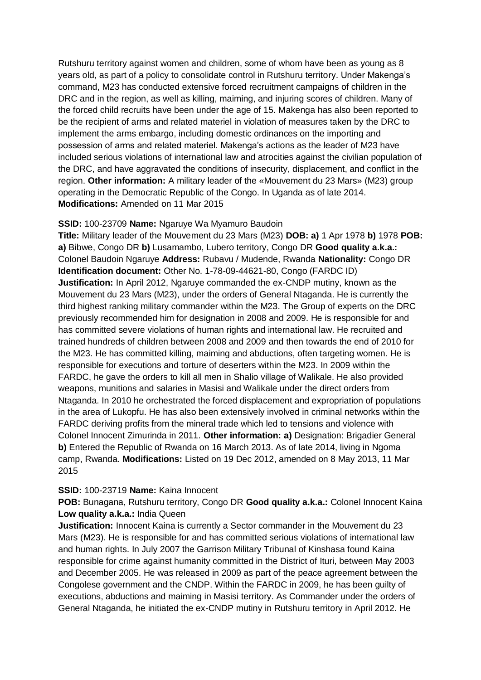Rutshuru territory against women and children, some of whom have been as young as 8 years old, as part of a policy to consolidate control in Rutshuru territory. Under Makenga's command, M23 has conducted extensive forced recruitment campaigns of children in the DRC and in the region, as well as killing, maiming, and injuring scores of children. Many of the forced child recruits have been under the age of 15. Makenga has also been reported to be the recipient of arms and related materiel in violation of measures taken by the DRC to implement the arms embargo, including domestic ordinances on the importing and possession of arms and related materiel. Makenga's actions as the leader of M23 have included serious violations of international law and atrocities against the civilian population of the DRC, and have aggravated the conditions of insecurity, displacement, and conflict in the region. **Other information:** A military leader of the «Mouvement du 23 Mars» (M23) group operating in the Democratic Republic of the Congo. In Uganda as of late 2014. **Modifications:** Amended on 11 Mar 2015

## **SSID:** 100-23709 **Name:** Ngaruye Wa Myamuro Baudoin

**Title:** Military leader of the Mouvement du 23 Mars (M23) **DOB: a)** 1 Apr 1978 **b)** 1978 **POB: a)** Bibwe, Congo DR **b)** Lusamambo, Lubero territory, Congo DR **Good quality a.k.a.:**  Colonel Baudoin Ngaruye **Address:** Rubavu / Mudende, Rwanda **Nationality:** Congo DR **Identification document:** Other No. 1-78-09-44621-80, Congo (FARDC ID) **Justification:** In April 2012, Ngaruye commanded the ex-CNDP mutiny, known as the Mouvement du 23 Mars (M23), under the orders of General Ntaganda. He is currently the third highest ranking military commander within the M23. The Group of experts on the DRC previously recommended him for designation in 2008 and 2009. He is responsible for and has committed severe violations of human rights and international law. He recruited and trained hundreds of children between 2008 and 2009 and then towards the end of 2010 for the M23. He has committed killing, maiming and abductions, often targeting women. He is responsible for executions and torture of deserters within the M23. In 2009 within the FARDC, he gave the orders to kill all men in Shalio village of Walikale. He also provided weapons, munitions and salaries in Masisi and Walikale under the direct orders from Ntaganda. In 2010 he orchestrated the forced displacement and expropriation of populations in the area of Lukopfu. He has also been extensively involved in criminal networks within the FARDC deriving profits from the mineral trade which led to tensions and violence with Colonel Innocent Zimurinda in 2011. **Other information: a)** Designation: Brigadier General **b)** Entered the Republic of Rwanda on 16 March 2013. As of late 2014, living in Ngoma camp, Rwanda. **Modifications:** Listed on 19 Dec 2012, amended on 8 May 2013, 11 Mar 2015

### **SSID:** 100-23719 **Name:** Kaina Innocent

**POB:** Bunagana, Rutshuru territory, Congo DR **Good quality a.k.a.:** Colonel Innocent Kaina **Low quality a.k.a.:** India Queen

**Justification:** Innocent Kaina is currently a Sector commander in the Mouvement du 23 Mars (M23). He is responsible for and has committed serious violations of international law and human rights. In July 2007 the Garrison Military Tribunal of Kinshasa found Kaina responsible for crime against humanity committed in the District of Ituri, between May 2003 and December 2005. He was released in 2009 as part of the peace agreement between the Congolese government and the CNDP. Within the FARDC in 2009, he has been guilty of executions, abductions and maiming in Masisi territory. As Commander under the orders of General Ntaganda, he initiated the ex-CNDP mutiny in Rutshuru territory in April 2012. He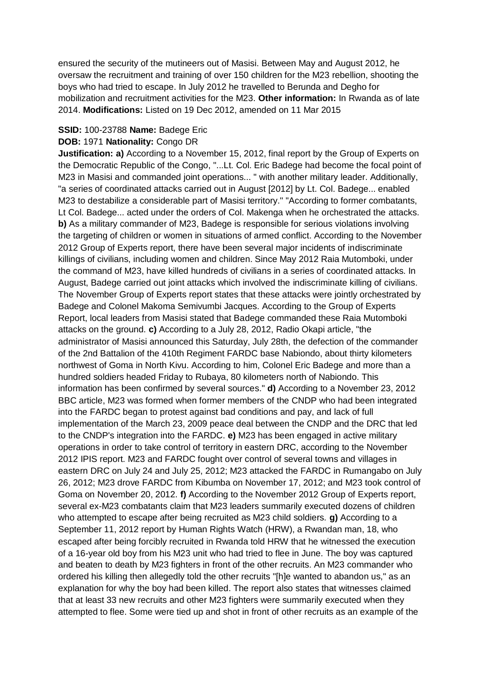ensured the security of the mutineers out of Masisi. Between May and August 2012, he oversaw the recruitment and training of over 150 children for the M23 rebellion, shooting the boys who had tried to escape. In July 2012 he travelled to Berunda and Degho for mobilization and recruitment activities for the M23. **Other information:** In Rwanda as of late 2014. **Modifications:** Listed on 19 Dec 2012, amended on 11 Mar 2015

### **SSID:** 100-23788 **Name:** Badege Eric

### **DOB:** 1971 **Nationality:** Congo DR

**Justification: a)** According to a November 15, 2012, final report by the Group of Experts on the Democratic Republic of the Congo, "...Lt. Col. Eric Badege had become the focal point of M23 in Masisi and commanded joint operations... " with another military leader. Additionally, "a series of coordinated attacks carried out in August [2012] by Lt. Col. Badege... enabled M23 to destabilize a considerable part of Masisi territory." "According to former combatants, Lt Col. Badege... acted under the orders of Col. Makenga when he orchestrated the attacks. **b)** As a military commander of M23, Badege is responsible for serious violations involving the targeting of children or women in situations of armed conflict. According to the November 2012 Group of Experts report, there have been several major incidents of indiscriminate killings of civilians, including women and children. Since May 2012 Raia Mutomboki, under the command of M23, have killed hundreds of civilians in a series of coordinated attacks. In August, Badege carried out joint attacks which involved the indiscriminate killing of civilians. The November Group of Experts report states that these attacks were jointly orchestrated by Badege and Colonel Makoma Semivumbi Jacques. According to the Group of Experts Report, local leaders from Masisi stated that Badege commanded these Raia Mutomboki attacks on the ground. **c)** According to a July 28, 2012, Radio Okapi article, "the administrator of Masisi announced this Saturday, July 28th, the defection of the commander of the 2nd Battalion of the 410th Regiment FARDC base Nabiondo, about thirty kilometers northwest of Goma in North Kivu. According to him, Colonel Eric Badege and more than a hundred soldiers headed Friday to Rubaya, 80 kilometers north of Nabiondo. This information has been confirmed by several sources." **d)** According to a November 23, 2012 BBC article, M23 was formed when former members of the CNDP who had been integrated into the FARDC began to protest against bad conditions and pay, and lack of full implementation of the March 23, 2009 peace deal between the CNDP and the DRC that led to the CNDP's integration into the FARDC. **e)** M23 has been engaged in active military operations in order to take control of territory in eastern DRC, according to the November 2012 IPIS report. M23 and FARDC fought over control of several towns and villages in eastern DRC on July 24 and July 25, 2012; M23 attacked the FARDC in Rumangabo on July 26, 2012; M23 drove FARDC from Kibumba on November 17, 2012; and M23 took control of Goma on November 20, 2012. **f)** According to the November 2012 Group of Experts report, several ex-M23 combatants claim that M23 leaders summarily executed dozens of children who attempted to escape after being recruited as M23 child soldiers. **g)** According to a September 11, 2012 report by Human Rights Watch (HRW), a Rwandan man, 18, who escaped after being forcibly recruited in Rwanda told HRW that he witnessed the execution of a 16-year old boy from his M23 unit who had tried to flee in June. The boy was captured and beaten to death by M23 fighters in front of the other recruits. An M23 commander who ordered his killing then allegedly told the other recruits "[h]e wanted to abandon us," as an explanation for why the boy had been killed. The report also states that witnesses claimed that at least 33 new recruits and other M23 fighters were summarily executed when they attempted to flee. Some were tied up and shot in front of other recruits as an example of the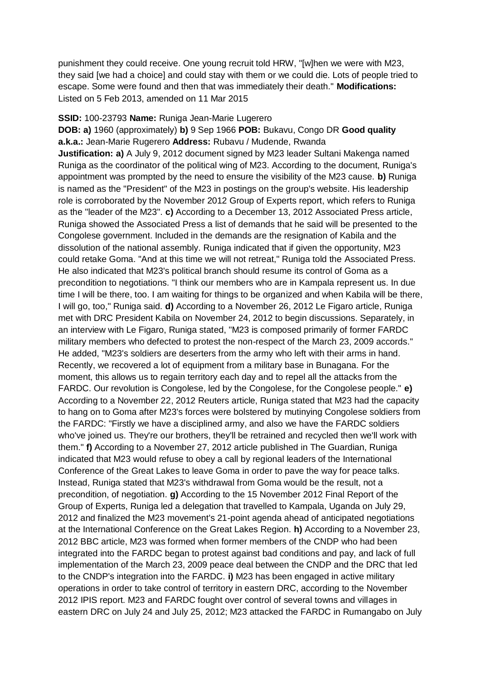punishment they could receive. One young recruit told HRW, "[w]hen we were with M23, they said [we had a choice] and could stay with them or we could die. Lots of people tried to escape. Some were found and then that was immediately their death." **Modifications:**  Listed on 5 Feb 2013, amended on 11 Mar 2015

### **SSID:** 100-23793 **Name:** Runiga Jean-Marie Lugerero

**DOB: a)** 1960 (approximately) **b)** 9 Sep 1966 **POB:** Bukavu, Congo DR **Good quality a.k.a.:** Jean-Marie Rugerero **Address:** Rubavu / Mudende, Rwanda **Justification: a)** A July 9, 2012 document signed by M23 leader Sultani Makenga named Runiga as the coordinator of the political wing of M23. According to the document, Runiga's appointment was prompted by the need to ensure the visibility of the M23 cause. **b)** Runiga is named as the "President" of the M23 in postings on the group's website. His leadership role is corroborated by the November 2012 Group of Experts report, which refers to Runiga as the "leader of the M23". **c)** According to a December 13, 2012 Associated Press article, Runiga showed the Associated Press a list of demands that he said will be presented to the Congolese government. Included in the demands are the resignation of Kabila and the dissolution of the national assembly. Runiga indicated that if given the opportunity, M23 could retake Goma. "And at this time we will not retreat," Runiga told the Associated Press. He also indicated that M23's political branch should resume its control of Goma as a precondition to negotiations. "I think our members who are in Kampala represent us. In due time I will be there, too. I am waiting for things to be organized and when Kabila will be there, I will go, too," Runiga said. **d)** According to a November 26, 2012 Le Figaro article, Runiga met with DRC President Kabila on November 24, 2012 to begin discussions. Separately, in an interview with Le Figaro, Runiga stated, "M23 is composed primarily of former FARDC military members who defected to protest the non-respect of the March 23, 2009 accords." He added, "M23's soldiers are deserters from the army who left with their arms in hand. Recently, we recovered a lot of equipment from a military base in Bunagana. For the moment, this allows us to regain territory each day and to repel all the attacks from the FARDC. Our revolution is Congolese, led by the Congolese, for the Congolese people." **e)**  According to a November 22, 2012 Reuters article, Runiga stated that M23 had the capacity to hang on to Goma after M23's forces were bolstered by mutinying Congolese soldiers from the FARDC: "Firstly we have a disciplined army, and also we have the FARDC soldiers who've joined us. They're our brothers, they'll be retrained and recycled then we'll work with them." **f)** According to a November 27, 2012 article published in The Guardian, Runiga indicated that M23 would refuse to obey a call by regional leaders of the International Conference of the Great Lakes to leave Goma in order to pave the way for peace talks. Instead, Runiga stated that M23's withdrawal from Goma would be the result, not a precondition, of negotiation. **g)** According to the 15 November 2012 Final Report of the Group of Experts, Runiga led a delegation that travelled to Kampala, Uganda on July 29, 2012 and finalized the M23 movement's 21-point agenda ahead of anticipated negotiations at the International Conference on the Great Lakes Region. **h)** According to a November 23, 2012 BBC article, M23 was formed when former members of the CNDP who had been integrated into the FARDC began to protest against bad conditions and pay, and lack of full implementation of the March 23, 2009 peace deal between the CNDP and the DRC that led to the CNDP's integration into the FARDC. **i)** M23 has been engaged in active military operations in order to take control of territory in eastern DRC, according to the November 2012 IPIS report. M23 and FARDC fought over control of several towns and villages in eastern DRC on July 24 and July 25, 2012; M23 attacked the FARDC in Rumangabo on July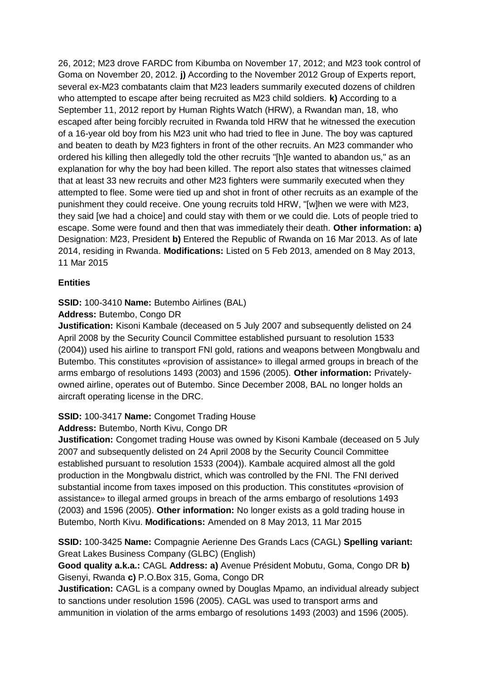26, 2012; M23 drove FARDC from Kibumba on November 17, 2012; and M23 took control of Goma on November 20, 2012. **j)** According to the November 2012 Group of Experts report, several ex-M23 combatants claim that M23 leaders summarily executed dozens of children who attempted to escape after being recruited as M23 child soldiers. **k)** According to a September 11, 2012 report by Human Rights Watch (HRW), a Rwandan man, 18, who escaped after being forcibly recruited in Rwanda told HRW that he witnessed the execution of a 16-year old boy from his M23 unit who had tried to flee in June. The boy was captured and beaten to death by M23 fighters in front of the other recruits. An M23 commander who ordered his killing then allegedly told the other recruits "[h]e wanted to abandon us," as an explanation for why the boy had been killed. The report also states that witnesses claimed that at least 33 new recruits and other M23 fighters were summarily executed when they attempted to flee. Some were tied up and shot in front of other recruits as an example of the punishment they could receive. One young recruits told HRW, "[w]hen we were with M23, they said [we had a choice] and could stay with them or we could die. Lots of people tried to escape. Some were found and then that was immediately their death. **Other information: a)**  Designation: M23, President **b)** Entered the Republic of Rwanda on 16 Mar 2013. As of late 2014, residing in Rwanda. **Modifications:** Listed on 5 Feb 2013, amended on 8 May 2013, 11 Mar 2015

# **Entities**

## **SSID:** 100-3410 **Name:** Butembo Airlines (BAL)

## **Address:** Butembo, Congo DR

**Justification:** Kisoni Kambale (deceased on 5 July 2007 and subsequently delisted on 24 April 2008 by the Security Council Committee established pursuant to resolution 1533 (2004)) used his airline to transport FNI gold, rations and weapons between Mongbwalu and Butembo. This constitutes «provision of assistance» to illegal armed groups in breach of the arms embargo of resolutions 1493 (2003) and 1596 (2005). **Other information:** Privatelyowned airline, operates out of Butembo. Since December 2008, BAL no longer holds an aircraft operating license in the DRC.

## **SSID:** 100-3417 **Name:** Congomet Trading House

## **Address:** Butembo, North Kivu, Congo DR

**Justification:** Congomet trading House was owned by Kisoni Kambale (deceased on 5 July 2007 and subsequently delisted on 24 April 2008 by the Security Council Committee established pursuant to resolution 1533 (2004)). Kambale acquired almost all the gold production in the Mongbwalu district, which was controlled by the FNI. The FNI derived substantial income from taxes imposed on this production. This constitutes «provision of assistance» to illegal armed groups in breach of the arms embargo of resolutions 1493 (2003) and 1596 (2005). **Other information:** No longer exists as a gold trading house in Butembo, North Kivu. **Modifications:** Amended on 8 May 2013, 11 Mar 2015

# **SSID:** 100-3425 **Name:** Compagnie Aerienne Des Grands Lacs (CAGL) **Spelling variant:**  Great Lakes Business Company (GLBC) (English)

**Good quality a.k.a.:** CAGL **Address: a)** Avenue Président Mobutu, Goma, Congo DR **b)**  Gisenyi, Rwanda **c)** P.O.Box 315, Goma, Congo DR

**Justification:** CAGL is a company owned by Douglas Mpamo, an individual already subject to sanctions under resolution 1596 (2005). CAGL was used to transport arms and ammunition in violation of the arms embargo of resolutions 1493 (2003) and 1596 (2005).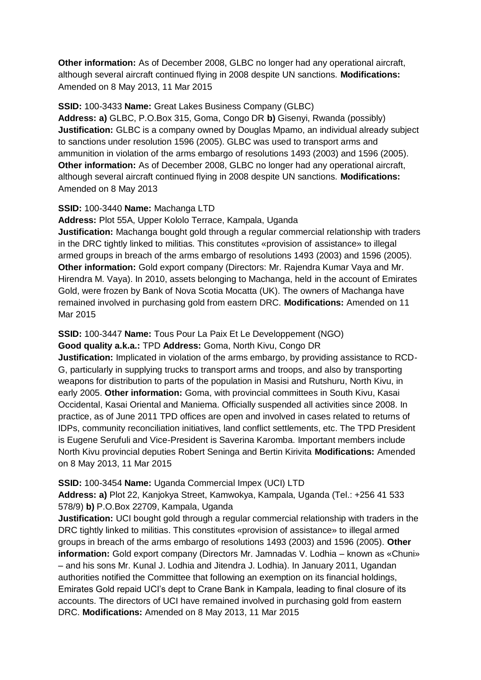**Other information:** As of December 2008, GLBC no longer had any operational aircraft, although several aircraft continued flying in 2008 despite UN sanctions. **Modifications:**  Amended on 8 May 2013, 11 Mar 2015

## **SSID:** 100-3433 **Name:** Great Lakes Business Company (GLBC)

**Address: a)** GLBC, P.O.Box 315, Goma, Congo DR **b)** Gisenyi, Rwanda (possibly) **Justification:** GLBC is a company owned by Douglas Mpamo, an individual already subject to sanctions under resolution 1596 (2005). GLBC was used to transport arms and ammunition in violation of the arms embargo of resolutions 1493 (2003) and 1596 (2005). **Other information:** As of December 2008, GLBC no longer had any operational aircraft, although several aircraft continued flying in 2008 despite UN sanctions. **Modifications:**  Amended on 8 May 2013

## **SSID:** 100-3440 **Name:** Machanga LTD

**Address:** Plot 55A, Upper Kololo Terrace, Kampala, Uganda **Justification:** Machanga bought gold through a regular commercial relationship with traders in the DRC tightly linked to militias. This constitutes «provision of assistance» to illegal armed groups in breach of the arms embargo of resolutions 1493 (2003) and 1596 (2005). **Other information:** Gold export company (Directors: Mr. Rajendra Kumar Vaya and Mr. Hirendra M. Vaya). In 2010, assets belonging to Machanga, held in the account of Emirates Gold, were frozen by Bank of Nova Scotia Mocatta (UK). The owners of Machanga have remained involved in purchasing gold from eastern DRC. **Modifications:** Amended on 11 Mar 2015

## **SSID:** 100-3447 **Name:** Tous Pour La Paix Et Le Developpement (NGO) **Good quality a.k.a.:** TPD **Address:** Goma, North Kivu, Congo DR

**Justification:** Implicated in violation of the arms embargo, by providing assistance to RCD-G, particularly in supplying trucks to transport arms and troops, and also by transporting weapons for distribution to parts of the population in Masisi and Rutshuru, North Kivu, in early 2005. **Other information:** Goma, with provincial committees in South Kivu, Kasai Occidental, Kasai Oriental and Maniema. Officially suspended all activities since 2008. In practice, as of June 2011 TPD offices are open and involved in cases related to returns of IDPs, community reconciliation initiatives, land conflict settlements, etc. The TPD President is Eugene Serufuli and Vice-President is Saverina Karomba. Important members include North Kivu provincial deputies Robert Seninga and Bertin Kirivita **Modifications:** Amended on 8 May 2013, 11 Mar 2015

# **SSID:** 100-3454 **Name:** Uganda Commercial Impex (UCI) LTD

**Address: a)** Plot 22, Kanjokya Street, Kamwokya, Kampala, Uganda (Tel.: +256 41 533 578/9) **b)** P.O.Box 22709, Kampala, Uganda

**Justification:** UCI bought gold through a regular commercial relationship with traders in the DRC tightly linked to militias. This constitutes «provision of assistance» to illegal armed groups in breach of the arms embargo of resolutions 1493 (2003) and 1596 (2005). **Other information:** Gold export company (Directors Mr. Jamnadas V. Lodhia – known as «Chuni» – and his sons Mr. Kunal J. Lodhia and Jitendra J. Lodhia). In January 2011, Ugandan authorities notified the Committee that following an exemption on its financial holdings, Emirates Gold repaid UCI's dept to Crane Bank in Kampala, leading to final closure of its accounts. The directors of UCI have remained involved in purchasing gold from eastern DRC. **Modifications:** Amended on 8 May 2013, 11 Mar 2015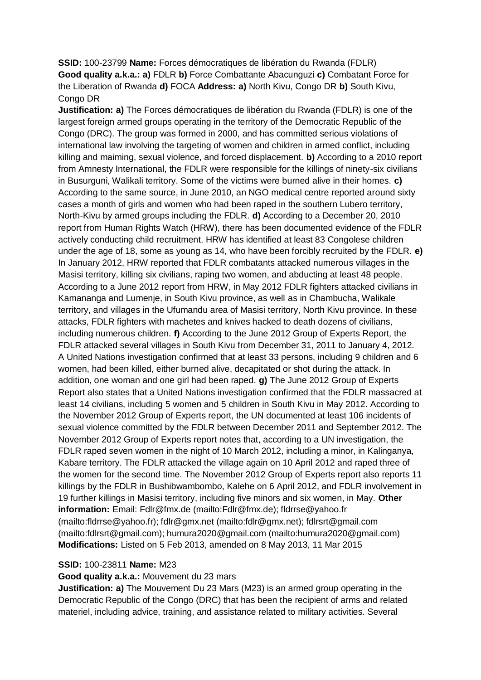**SSID:** 100-23799 **Name:** Forces démocratiques de libération du Rwanda (FDLR) **Good quality a.k.a.: a)** FDLR **b)** Force Combattante Abacunguzi **c)** Combatant Force for the Liberation of Rwanda **d)** FOCA **Address: a)** North Kivu, Congo DR **b)** South Kivu, Congo DR

**Justification: a)** The Forces démocratiques de libération du Rwanda (FDLR) is one of the largest foreign armed groups operating in the territory of the Democratic Republic of the Congo (DRC). The group was formed in 2000, and has committed serious violations of international law involving the targeting of women and children in armed conflict, including killing and maiming, sexual violence, and forced displacement. **b)** According to a 2010 report from Amnesty International, the FDLR were responsible for the killings of ninety-six civilians in Busurguni, Walikali territory. Some of the victims were burned alive in their homes. **c)**  According to the same source, in June 2010, an NGO medical centre reported around sixty cases a month of girls and women who had been raped in the southern Lubero territory, North-Kivu by armed groups including the FDLR. **d)** According to a December 20, 2010 report from Human Rights Watch (HRW), there has been documented evidence of the FDLR actively conducting child recruitment. HRW has identified at least 83 Congolese children under the age of 18, some as young as 14, who have been forcibly recruited by the FDLR. **e)**  In January 2012, HRW reported that FDLR combatants attacked numerous villages in the Masisi territory, killing six civilians, raping two women, and abducting at least 48 people. According to a June 2012 report from HRW, in May 2012 FDLR fighters attacked civilians in Kamananga and Lumenje, in South Kivu province, as well as in Chambucha, Walikale territory, and villages in the Ufumandu area of Masisi territory, North Kivu province. In these attacks, FDLR fighters with machetes and knives hacked to death dozens of civilians, including numerous children. **f)** According to the June 2012 Group of Experts Report, the FDLR attacked several villages in South Kivu from December 31, 2011 to January 4, 2012. A United Nations investigation confirmed that at least 33 persons, including 9 children and 6 women, had been killed, either burned alive, decapitated or shot during the attack. In addition, one woman and one girl had been raped. **g)** The June 2012 Group of Experts Report also states that a United Nations investigation confirmed that the FDLR massacred at least 14 civilians, including 5 women and 5 children in South Kivu in May 2012. According to the November 2012 Group of Experts report, the UN documented at least 106 incidents of sexual violence committed by the FDLR between December 2011 and September 2012. The November 2012 Group of Experts report notes that, according to a UN investigation, the FDLR raped seven women in the night of 10 March 2012, including a minor, in Kalinganya, Kabare territory. The FDLR attacked the village again on 10 April 2012 and raped three of the women for the second time. The November 2012 Group of Experts report also reports 11 killings by the FDLR in Bushibwambombo, Kalehe on 6 April 2012, and FDLR involvement in 19 further killings in Masisi territory, including five minors and six women, in May. **Other information:** Email: Fdlr@fmx.de (mailto:Fdlr@fmx.de); fldrrse@yahoo.fr (mailto:fldrrse@yahoo.fr); fdlr@gmx.net (mailto:fdlr@gmx.net); fdlrsrt@gmail.com (mailto:fdlrsrt@gmail.com); humura2020@gmail.com (mailto:humura2020@gmail.com) **Modifications:** Listed on 5 Feb 2013, amended on 8 May 2013, 11 Mar 2015

### **SSID:** 100-23811 **Name:** M23

**Good quality a.k.a.:** Mouvement du 23 mars

**Justification: a)** The Mouvement Du 23 Mars (M23) is an armed group operating in the Democratic Republic of the Congo (DRC) that has been the recipient of arms and related materiel, including advice, training, and assistance related to military activities. Several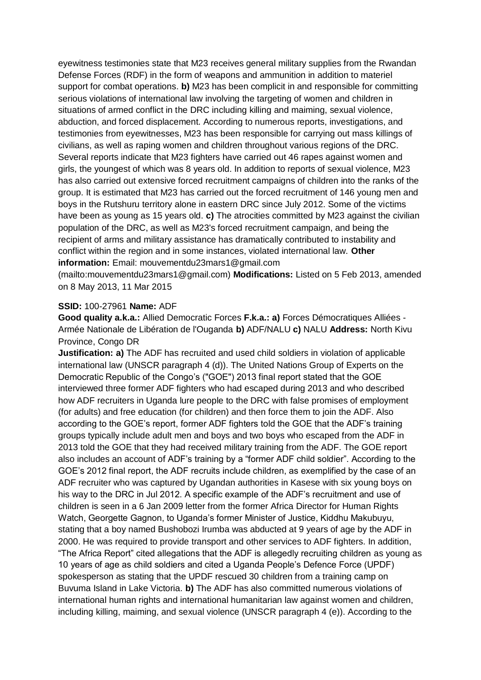eyewitness testimonies state that M23 receives general military supplies from the Rwandan Defense Forces (RDF) in the form of weapons and ammunition in addition to materiel support for combat operations. **b)** M23 has been complicit in and responsible for committing serious violations of international law involving the targeting of women and children in situations of armed conflict in the DRC including killing and maiming, sexual violence, abduction, and forced displacement. According to numerous reports, investigations, and testimonies from eyewitnesses, M23 has been responsible for carrying out mass killings of civilians, as well as raping women and children throughout various regions of the DRC. Several reports indicate that M23 fighters have carried out 46 rapes against women and girls, the youngest of which was 8 years old. In addition to reports of sexual violence, M23 has also carried out extensive forced recruitment campaigns of children into the ranks of the group. It is estimated that M23 has carried out the forced recruitment of 146 young men and boys in the Rutshuru territory alone in eastern DRC since July 2012. Some of the victims have been as young as 15 years old. **c)** The atrocities committed by M23 against the civilian population of the DRC, as well as M23's forced recruitment campaign, and being the recipient of arms and military assistance has dramatically contributed to instability and conflict within the region and in some instances, violated international law. **Other information:** Email: mouvementdu23mars1@gmail.com

(mailto:mouvementdu23mars1@gmail.com) **Modifications:** Listed on 5 Feb 2013, amended on 8 May 2013, 11 Mar 2015

### **SSID:** 100-27961 **Name:** ADF

**Good quality a.k.a.:** Allied Democratic Forces **F.k.a.: a)** Forces Démocratiques Alliées - Armée Nationale de Libération de l'Ouganda **b)** ADF/NALU **c)** NALU **Address:** North Kivu Province, Congo DR

**Justification: a)** The ADF has recruited and used child soldiers in violation of applicable international law (UNSCR paragraph 4 (d)). The United Nations Group of Experts on the Democratic Republic of the Congo's ("GOE") 2013 final report stated that the GOE interviewed three former ADF fighters who had escaped during 2013 and who described how ADF recruiters in Uganda lure people to the DRC with false promises of employment (for adults) and free education (for children) and then force them to join the ADF. Also according to the GOE's report, former ADF fighters told the GOE that the ADF's training groups typically include adult men and boys and two boys who escaped from the ADF in 2013 told the GOE that they had received military training from the ADF. The GOE report also includes an account of ADF's training by a "former ADF child soldier". According to the GOE's 2012 final report, the ADF recruits include children, as exemplified by the case of an ADF recruiter who was captured by Ugandan authorities in Kasese with six young boys on his way to the DRC in Jul 2012. A specific example of the ADF's recruitment and use of children is seen in a 6 Jan 2009 letter from the former Africa Director for Human Rights Watch, Georgette Gagnon, to Uganda's former Minister of Justice, Kiddhu Makubuyu, stating that a boy named Bushobozi Irumba was abducted at 9 years of age by the ADF in 2000. He was required to provide transport and other services to ADF fighters. In addition, "The Africa Report" cited allegations that the ADF is allegedly recruiting children as young as 10 years of age as child soldiers and cited a Uganda People's Defence Force (UPDF) spokesperson as stating that the UPDF rescued 30 children from a training camp on Buvuma Island in Lake Victoria. **b)** The ADF has also committed numerous violations of international human rights and international humanitarian law against women and children, including killing, maiming, and sexual violence (UNSCR paragraph 4 (e)). According to the